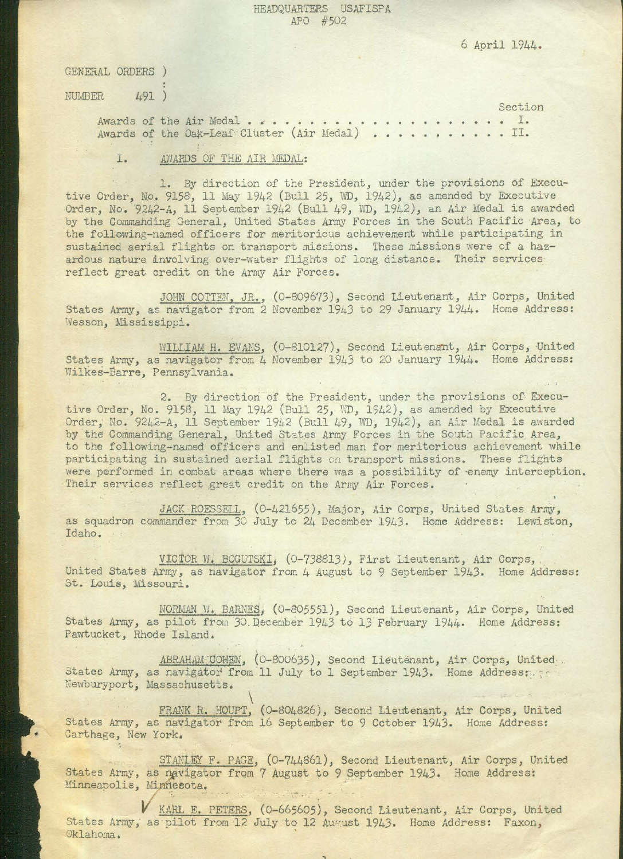## HEADQUARTERS USAFISPA APO #502

| GENERAL ORDERS |                                                 |
|----------------|-------------------------------------------------|
| NUMBER<br>491  | Section                                         |
|                | Awards of the Oak-Leaf Cluster (Air Medal)  II. |
| I.             | AWARDS OF THE AIR MEDAL:                        |

6 April 1944.

JOHN COTTEN, JR., (0-809673), Second Lieutenant, Air Corps, United States Army, as navigator from 2 November 1943 to 29 January 1944. Home Address: Wesson, Mississippi.

WILLIAM H. EVANS, (0-810127), Second Lieutenant, Air Corps, United States Army, as navigator from 4 November 1943 to 20 January 1944. Home Address: Wilkes-Barre, Pennsylvania.

2. By direction of the President, under the provisions of Executive Order, No. 9158, 11 May 1942 (Bull 25, WD, 1942), as amended by Executive Order, No. 9242-A, 11 September 1942 (Bull 49, WD, 1942), an Air Medal is awarded by the Commanding General, United States Army Forces in the South Pacific Area, to the following-named officers and enlisted man for meritorious achievement while participating in sustained aerial flights on transport missions. These flights

were performed in combat areas where there was a possibility of enemy interception. Their services reflect great credit on the Army Air Forces.

1. By direction of the President, under the provisions of Executive Order, No.  $9158$ , 11 May 1942 (Bull 25, WD, 1942), as amended by Executive Order, No. 9242-A, 11 September 1942 (Bull 49, *WD*, 1942), an Air Medal is awarded by the Commahding General, United States Army Forces in the South Pacific Area, to the following-named officers for meritorious achievement while participating in sustained aerial flights on transport missions. These missions were of a hazardous nature involving over-water flights of long distance. Their servicesreflect great credit on the Army Air Forces.

JACK ROESSELL, (0-421655), Major, Air Corps, United States Army, as squadron commander from 30 July to 24 December 1943. Home Address: Lewiston, Idaho.

VICTOR W. BOGUTSKI, (0-738813), First Lieutenant, Air Corps, United States Army, as navigator from 4 August to 9 September 1943. Home Address: St. Louis, Missouri.

NORMAN W. BARNES, (0-805551), Second Lieutenant, Air Corps, United States Army, as pilot from 30. December 1943 to 13 February 1944. Home Address: Pawtucket, Rhode Island. ,.

States Army, as navigator from 11 July to 1 September 1943. Home Address: Newburyport, Massachusetts. ABRAHAM COHEN, (0-800635), Second Lieutenant, Air Corps, United.

 $\mathbf{r}$  . let

 $\overline{\phantom{a}}$ FRANK R. HOUPT, (0-804826), Second Lieutenant, Air Corps, United States Army, as navigator from 16 September to 9 October 1943. Home Address: Carthage, New York,

STANLEY F. PAGE, (0-744861), Second Lieutenant, Air Corps, United States Army, as navigator from 7 August to 9 September 1943. Home Address: Minneapolis, Minnesota. <sup>~</sup>*:* 

**V** KARL E. PETERS, (0-665605), Second Lieutenant, Air Corps, United States Army, as pilot from 12 July to 12 August 1943. Home Address: Faxon, Oklahoma.